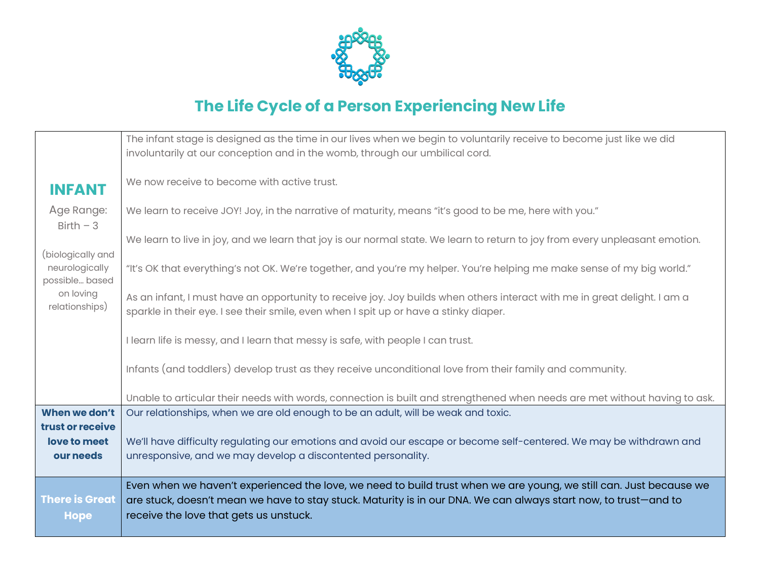

## **The Life Cycle of a Person Experiencing New Life**

|                                                       | The infant stage is designed as the time in our lives when we begin to voluntarily receive to become just like we did<br>involuntarily at our conception and in the womb, through our umbilical cord.                                                                           |
|-------------------------------------------------------|---------------------------------------------------------------------------------------------------------------------------------------------------------------------------------------------------------------------------------------------------------------------------------|
| <b>INFANT</b>                                         | We now receive to become with active trust.                                                                                                                                                                                                                                     |
| Age Range:<br>$Birth - 3$                             | We learn to receive JOY! Joy, in the narrative of maturity, means "it's good to be me, here with you."                                                                                                                                                                          |
|                                                       | We learn to live in joy, and we learn that joy is our normal state. We learn to return to joy from every unpleasant emotion.                                                                                                                                                    |
| (biologically and<br>neurologically<br>possible based | "It's OK that everything's not OK. We're together, and you're my helper. You're helping me make sense of my big world."                                                                                                                                                         |
| on loving<br>relationships)                           | As an infant, I must have an opportunity to receive joy. Joy builds when others interact with me in great delight. I am a<br>sparkle in their eye. I see their smile, even when I spit up or have a stinky diaper.                                                              |
|                                                       | I learn life is messy, and I learn that messy is safe, with people I can trust.                                                                                                                                                                                                 |
|                                                       | Infants (and toddlers) develop trust as they receive unconditional love from their family and community.                                                                                                                                                                        |
|                                                       | Unable to articular their needs with words, connection is built and strengthened when needs are met without having to ask.                                                                                                                                                      |
| When we don't                                         | Our relationships, when we are old enough to be an adult, will be weak and toxic.                                                                                                                                                                                               |
| trust or receive<br>love to meet<br>our needs         | We'll have difficulty regulating our emotions and avoid our escape or become self-centered. We may be withdrawn and<br>unresponsive, and we may develop a discontented personality.                                                                                             |
| <b>There is Great</b><br><b>Hope</b>                  | Even when we haven't experienced the love, we need to build trust when we are young, we still can. Just because we<br>are stuck, doesn't mean we have to stay stuck. Maturity is in our DNA. We can always start now, to trust-and to<br>receive the love that gets us unstuck. |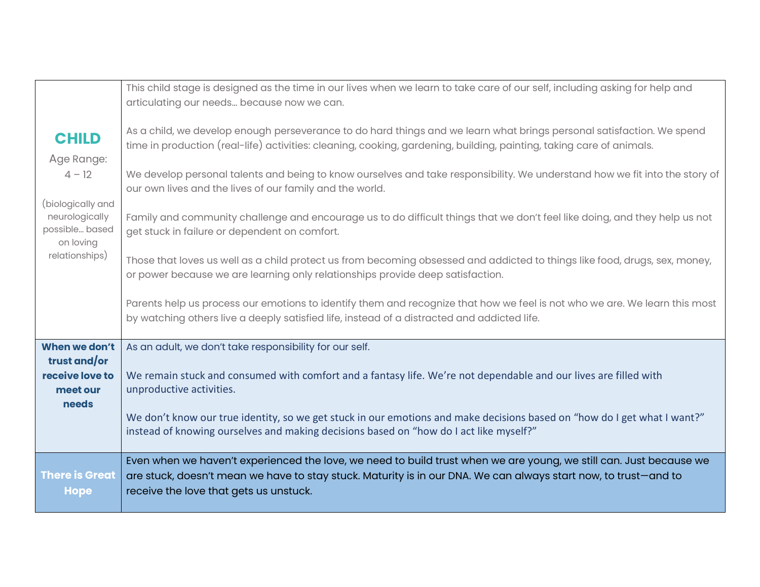|                                                      | This child stage is designed as the time in our lives when we learn to take care of our self, including asking for help and<br>articulating our needs because now we can.                                                                                                       |
|------------------------------------------------------|---------------------------------------------------------------------------------------------------------------------------------------------------------------------------------------------------------------------------------------------------------------------------------|
| <b>CHILD</b>                                         | As a child, we develop enough perseverance to do hard things and we learn what brings personal satisfaction. We spend                                                                                                                                                           |
| Age Range:                                           | time in production (real-life) activities: cleaning, cooking, gardening, building, painting, taking care of animals.                                                                                                                                                            |
| $4 - 12$                                             | We develop personal talents and being to know ourselves and take responsibility. We understand how we fit into the story of<br>our own lives and the lives of our family and the world.                                                                                         |
| (biologically and                                    |                                                                                                                                                                                                                                                                                 |
| neurologically<br>possible based<br>on loving        | Family and community challenge and encourage us to do difficult things that we don't feel like doing, and they help us not<br>get stuck in failure or dependent on comfort.                                                                                                     |
| relationships)                                       | Those that loves us well as a child protect us from becoming obsessed and addicted to things like food, drugs, sex, money,<br>or power because we are learning only relationships provide deep satisfaction.                                                                    |
|                                                      | Parents help us process our emotions to identify them and recognize that how we feel is not who we are. We learn this most<br>by watching others live a deeply satisfied life, instead of a distracted and addicted life.                                                       |
| When we don't                                        | As an adult, we don't take responsibility for our self.                                                                                                                                                                                                                         |
| trust and/or<br>receive love to<br>meet our<br>needs | We remain stuck and consumed with comfort and a fantasy life. We're not dependable and our lives are filled with<br>unproductive activities.                                                                                                                                    |
|                                                      | We don't know our true identity, so we get stuck in our emotions and make decisions based on "how do I get what I want?"<br>instead of knowing ourselves and making decisions based on "how do I act like myself?"                                                              |
| There is Great<br><b>Hope</b>                        | Even when we haven't experienced the love, we need to build trust when we are young, we still can. Just because we<br>are stuck, doesn't mean we have to stay stuck. Maturity is in our DNA. We can always start now, to trust-and to<br>receive the love that gets us unstuck. |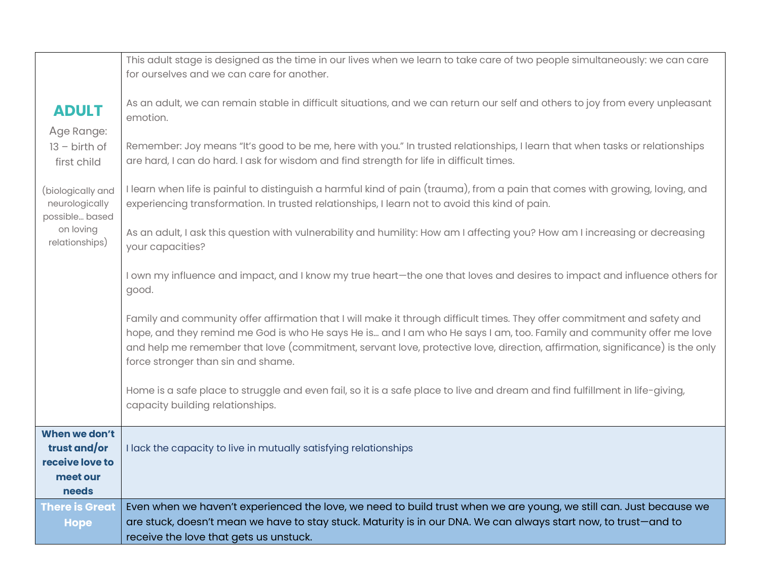|                                     | This adult stage is designed as the time in our lives when we learn to take care of two people simultaneously: we can care<br>for ourselves and we can care for another. |
|-------------------------------------|--------------------------------------------------------------------------------------------------------------------------------------------------------------------------|
|                                     |                                                                                                                                                                          |
| <b>ADULT</b>                        | As an adult, we can remain stable in difficult situations, and we can return our self and others to joy from every unpleasant                                            |
| Age Range:                          | emotion.                                                                                                                                                                 |
| $13 - birth of$                     | Remember: Joy means "It's good to be me, here with you." In trusted relationships, I learn that when tasks or relationships                                              |
| first child                         | are hard, I can do hard. I ask for wisdom and find strength for life in difficult times.                                                                                 |
|                                     | I learn when life is painful to distinguish a harmful kind of pain (trauma), from a pain that comes with growing, loving, and                                            |
| (biologically and<br>neurologically | experiencing transformation. In trusted relationships, I learn not to avoid this kind of pain.                                                                           |
| possible based                      |                                                                                                                                                                          |
| on loving<br>relationships)         | As an adult, I ask this question with vulnerability and humility: How am I affecting you? How am I increasing or decreasing                                              |
|                                     | your capacities?                                                                                                                                                         |
|                                     | I own my influence and impact, and I know my true heart-the one that loves and desires to impact and influence others for                                                |
|                                     | good.                                                                                                                                                                    |
|                                     | Family and community offer affirmation that I will make it through difficult times. They offer commitment and safety and                                                 |
|                                     | hope, and they remind me God is who He says He is and I am who He says I am, too. Family and community offer me love                                                     |
|                                     | and help me remember that love (commitment, servant love, protective love, direction, affirmation, significance) is the only                                             |
|                                     | force stronger than sin and shame.                                                                                                                                       |
|                                     | Home is a safe place to struggle and even fail, so it is a safe place to live and dream and find fulfillment in life-giving,                                             |
|                                     | capacity building relationships.                                                                                                                                         |
| When we don't                       |                                                                                                                                                                          |
| trust and/or                        | I lack the capacity to live in mutually satisfying relationships                                                                                                         |
| receive love to                     |                                                                                                                                                                          |
| meet our<br>needs                   |                                                                                                                                                                          |
| <b>There is Great</b>               | Even when we haven't experienced the love, we need to build trust when we are young, we still can. Just because we                                                       |
| <b>Hope</b>                         | are stuck, doesn't mean we have to stay stuck. Maturity is in our DNA. We can always start now, to trust-and to                                                          |
|                                     | receive the love that gets us unstuck.                                                                                                                                   |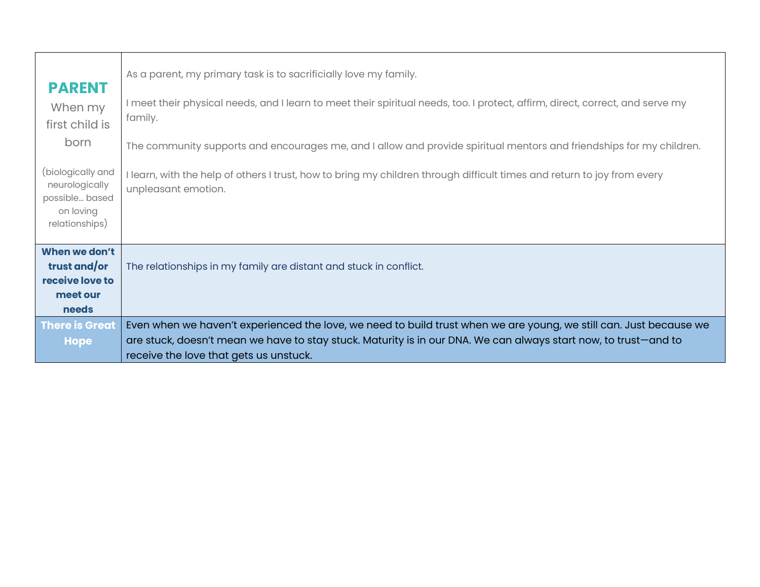| <b>PARENT</b><br>When my<br>first child is<br>born<br>(biologically and<br>neurologically<br>possible based<br>on loving<br>relationships) | As a parent, my primary task is to sacrificially love my family.<br>I meet their physical needs, and I learn to meet their spiritual needs, too. I protect, affirm, direct, correct, and serve my<br>family.<br>The community supports and encourages me, and I allow and provide spiritual mentors and friendships for my children.<br>I learn, with the help of others I trust, how to bring my children through difficult times and return to joy from every<br>unpleasant emotion. |
|--------------------------------------------------------------------------------------------------------------------------------------------|----------------------------------------------------------------------------------------------------------------------------------------------------------------------------------------------------------------------------------------------------------------------------------------------------------------------------------------------------------------------------------------------------------------------------------------------------------------------------------------|
| When we don't<br>trust and/or<br>receive love to<br>meet our<br><b>needs</b><br><b>There is Great</b><br><b>Hope</b>                       | The relationships in my family are distant and stuck in conflict.<br>Even when we haven't experienced the love, we need to build trust when we are young, we still can. Just because we<br>are stuck, doesn't mean we have to stay stuck. Maturity is in our DNA. We can always start now, to trust-and to<br>receive the love that gets us unstuck.                                                                                                                                   |